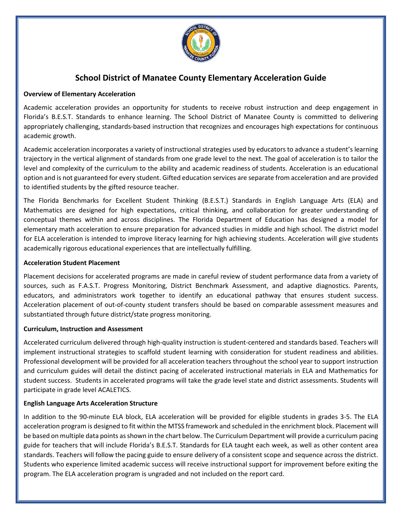

# **School District of Manatee County Elementary Acceleration Guide**

# **Overview of Elementary Acceleration**

Academic acceleration provides an opportunity for students to receive robust instruction and deep engagement in Florida's B.E.S.T. Standards to enhance learning. The School District of Manatee County is committed to delivering appropriately challenging, standards-based instruction that recognizes and encourages high expectations for continuous academic growth.

Academic acceleration incorporates a variety of instructional strategies used by educators to advance a student's learning trajectory in the vertical alignment of standards from one grade level to the next. The goal of acceleration is to tailor the level and complexity of the curriculum to the ability and academic readiness of students. Acceleration is an educational option and is not guaranteed for every student. Gifted education services are separate from acceleration and are provided to identified students by the gifted resource teacher.

The Florida Benchmarks for Excellent Student Thinking (B.E.S.T.) Standards in English Language Arts (ELA) and Mathematics are designed for high expectations, critical thinking, and collaboration for greater understanding of conceptual themes within and across disciplines. The Florida Department of Education has designed a model for elementary math acceleration to ensure preparation for advanced studies in middle and high school. The district model for ELA acceleration is intended to improve literacy learning for high achieving students. Acceleration will give students academically rigorous educational experiences that are intellectually fulfilling.

#### **Acceleration Student Placement**

Placement decisions for accelerated programs are made in careful review of student performance data from a variety of sources, such as F.A.S.T. Progress Monitoring, District Benchmark Assessment, and adaptive diagnostics. Parents, educators, and administrators work together to identify an educational pathway that ensures student success. Acceleration placement of out-of-county student transfers should be based on comparable assessment measures and substantiated through future district/state progress monitoring.

#### **Curriculum, Instruction and Assessment**

Accelerated curriculum delivered through high-quality instruction is student-centered and standards based. Teachers will implement instructional strategies to scaffold student learning with consideration for student readiness and abilities. Professional development will be provided for all acceleration teachers throughout the school year to support instruction and curriculum guides will detail the distinct pacing of accelerated instructional materials in ELA and Mathematics for student success. Students in accelerated programs will take the grade level state and district assessments. Students will participate in grade level ACALETICS.

# **English Language Arts Acceleration Structure**

In addition to the 90-minute ELA block, ELA acceleration will be provided for eligible students in grades 3-5. The ELA acceleration program is designed to fit within the MTSS framework and scheduled in the enrichment block. Placement will be based on multiple data points as shown in the chart below. The Curriculum Department will provide a curriculum pacing guide for teachers that will include Florida's B.E.S.T. Standards for ELA taught each week, as well as other content area standards. Teachers will follow the pacing guide to ensure delivery of a consistent scope and sequence across the district. Students who experience limited academic success will receive instructional support for improvement before exiting the program. The ELA acceleration program is ungraded and not included on the report card.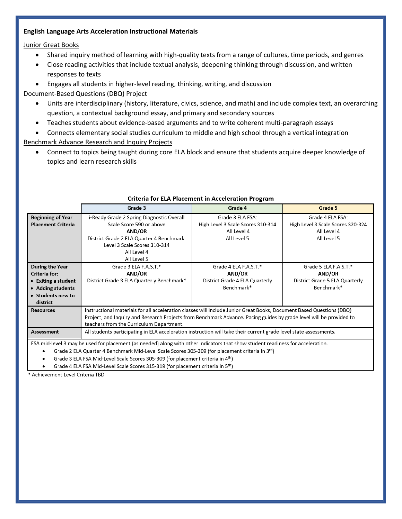#### **English Language Arts Acceleration Instructional Materials**

# Junior Great Books

- Shared inquiry method of learning with high-quality texts from a range of cultures, time periods, and genres
- Close reading activities that include textual analysis, deepening thinking through discussion, and written responses to texts
- Engages all students in higher-level reading, thinking, writing, and discussion

Document-Based Questions (DBQ) Project

- Units are interdisciplinary (history, literature, civics, science, and math) and include complex text, an overarching question, a contextual background essay, and primary and secondary sources
- Teaches students about evidence-based arguments and to write coherent multi-paragraph essays

• Connects elementary social studies curriculum to middle and high school through a vertical integration Benchmark Advance Research and Inquiry Projects

• Connect to topics being taught during core ELA block and ensure that students acquire deeper knowledge of topics and learn research skills

|                                                                                                                                 | Grade 3                                                                                                              | Grade 4                           | Grade 5                           |  |  |  |  |
|---------------------------------------------------------------------------------------------------------------------------------|----------------------------------------------------------------------------------------------------------------------|-----------------------------------|-----------------------------------|--|--|--|--|
| <b>Beginning of Year</b>                                                                                                        | i-Ready Grade 2 Spring Diagnostic Overall                                                                            | Grade 3 ELA FSA:                  | Grade 4 ELA FSA:                  |  |  |  |  |
| <b>Placement Criteria</b>                                                                                                       | Scale Score 590 or above                                                                                             | High Level 3 Scale Scores 310-314 | High Level 3 Scale Scores 320-324 |  |  |  |  |
|                                                                                                                                 | AND/OR                                                                                                               | All Level 4                       | All Level 4                       |  |  |  |  |
|                                                                                                                                 | District Grade 2 ELA Quarter 4 Benchmark:                                                                            | All Level 5                       | All Level 5                       |  |  |  |  |
|                                                                                                                                 | Level 3 Scale Scores 310-314                                                                                         |                                   |                                   |  |  |  |  |
|                                                                                                                                 | All Level 4                                                                                                          |                                   |                                   |  |  |  |  |
|                                                                                                                                 | All Level 5                                                                                                          |                                   |                                   |  |  |  |  |
| During the Year                                                                                                                 | Grade 3 ELA F.A.S.T.*                                                                                                | Grade 4 ELA F.A.S.T.*             | Grade 5 ELA F.A.S.T.*             |  |  |  |  |
| Criteria for:                                                                                                                   | AND/OR                                                                                                               | <b>AND/OR</b>                     | AND/OR                            |  |  |  |  |
| • Exiting a student                                                                                                             | District Grade 3 ELA Quarterly Benchmark*                                                                            | District Grade 4 ELA Quarterly    | District Grade 5 ELA Quarterly    |  |  |  |  |
| • Adding students                                                                                                               |                                                                                                                      | Benchmark*                        | Benchmark*                        |  |  |  |  |
| • Students new to                                                                                                               |                                                                                                                      |                                   |                                   |  |  |  |  |
| district                                                                                                                        |                                                                                                                      |                                   |                                   |  |  |  |  |
| <b>Resources</b>                                                                                                                | Instructional materials for all acceleration classes will include Junior Great Books, Document Based Questions (DBQ) |                                   |                                   |  |  |  |  |
|                                                                                                                                 | Project, and Inquiry and Research Projects from Benchmark Advance. Pacing guides by grade level will be provided to  |                                   |                                   |  |  |  |  |
|                                                                                                                                 | teachers from the Curriculum Department.                                                                             |                                   |                                   |  |  |  |  |
| Assessment                                                                                                                      | All students participating in ELA acceleration instruction will take their current grade level state assessments.    |                                   |                                   |  |  |  |  |
| FSA mid-level 3 may be used for placement (as needed) along with other indicators that show student readiness for acceleration. |                                                                                                                      |                                   |                                   |  |  |  |  |
| Grade 2 ELA Quarter 4 Benchmark Mid-Level Scale Scores 305-309 (for placement criteria in 3rd)<br>$\bullet$                     |                                                                                                                      |                                   |                                   |  |  |  |  |
| Grade 3 ELA FSA Mid-Level Scale Scores 305-309 (for placement criteria in 4 <sup>th</sup> )                                     |                                                                                                                      |                                   |                                   |  |  |  |  |

# Criteria for ELA Placement in Acceleration Program

Grade 4 ELA FSA Mid-Level Scale Scores 315-319 (for placement criteria in 5<sup>th</sup>)

Achievement Level Criteria TBD